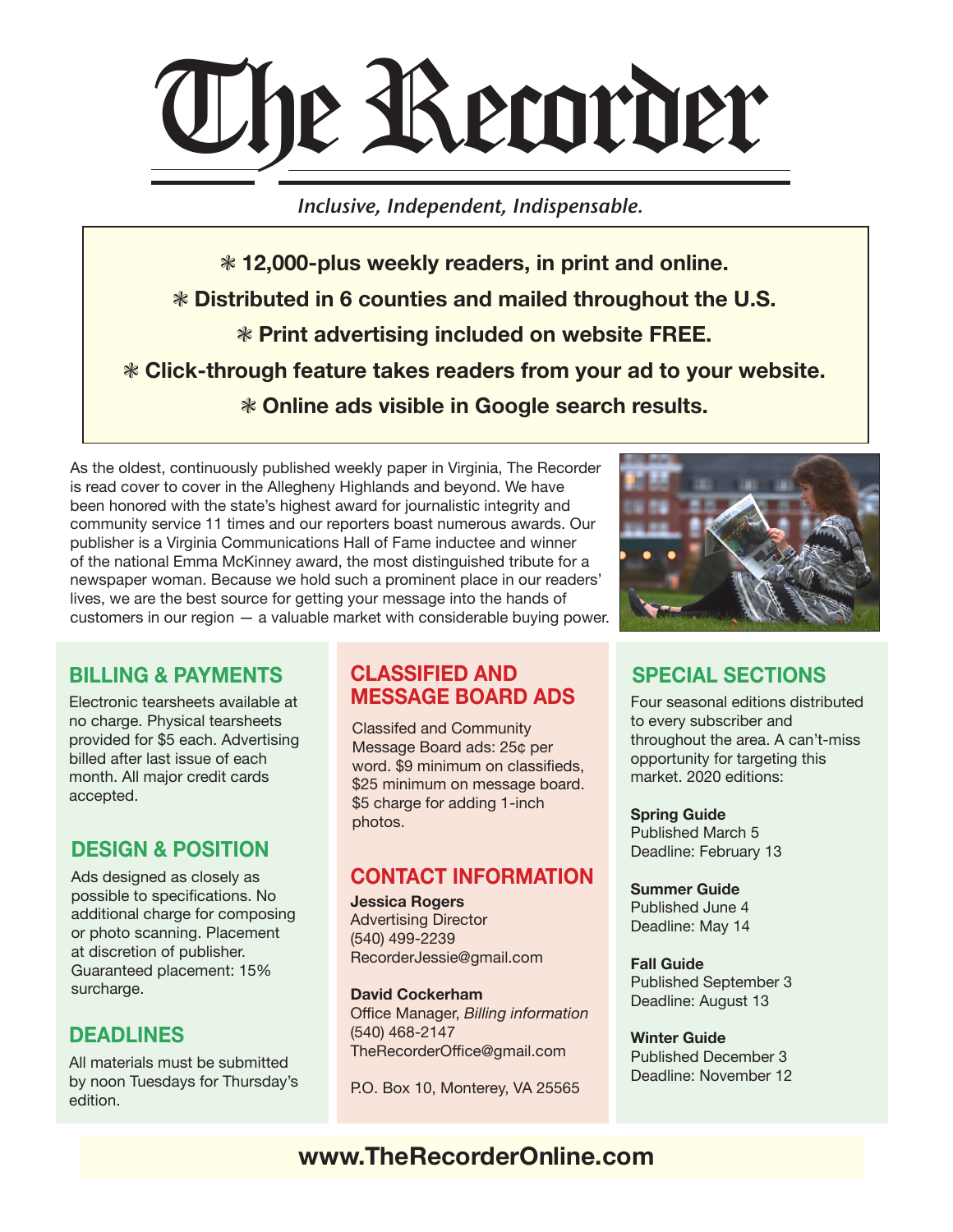

Inclusive, Independent, Indispensable.

c **12,000-plus weekly readers, in print and online.**  c **Distributed in 6 counties and mailed throughout the U.S. <sup>\*</sup> Print advertising included on website FREE.** c **Click-through feature takes readers from your ad to your website.**   $*$  Online ads visible in Google search results.

As the oldest, continuously published weekly paper in Virginia, The Recorder is read cover to cover in the Allegheny Highlands and beyond. We have been honored with the state's highest award for journalistic integrity and community service 11 times and our reporters boast numerous awards. Our publisher is a Virginia Communications Hall of Fame inductee and winner of the national Emma McKinney award, the most distinguished tribute for a newspaper woman. Because we hold such a prominent place in our readers' lives, we are the best source for getting your message into the hands of customers in our region — a valuable market with considerable buying power.



# **BILLING & PAYMENTS**

Electronic tearsheets available at no charge. Physical tearsheets provided for \$5 each. Advertising billed after last issue of each month. All major credit cards accepted.

# **DESIGN & POSITION**

Ads designed as closely as possible to specifications. No additional charge for composing or photo scanning. Placement at discretion of publisher. Guaranteed placement: 15% surcharge.

## **DEADLINES**

All materials must be submitted by noon Tuesdays for Thursday's edition.

### **CLASSIFIED AND MESSAGE BOARD ADS**

Classifed and Community Message Board ads: 25¢ per word. \$9 minimum on classifieds, \$25 minimum on message board. \$5 charge for adding 1-inch photos.

## **CONTACT INFORMATION**

**Jessica Rogers** Advertising Director (540) 499-2239 RecorderJessie@gmail.com

**David Cockerham** Office Manager, *Billing information* (540) 468-2147 TheRecorderOffice@gmail.com

P.O. Box 10, Monterey, VA 25565

# **SPECIAL SECTIONS**

Four seasonal editions distributed to every subscriber and throughout the area. A can't-miss opportunity for targeting this market. 2020 editions:

**Spring Guide** Published March 5 Deadline: February 13

**Summer Guide** Published June 4 Deadline: May 14

**Fall Guide**  Published September 3 Deadline: August 13

**Winter Guide** Published December 3 Deadline: November 12